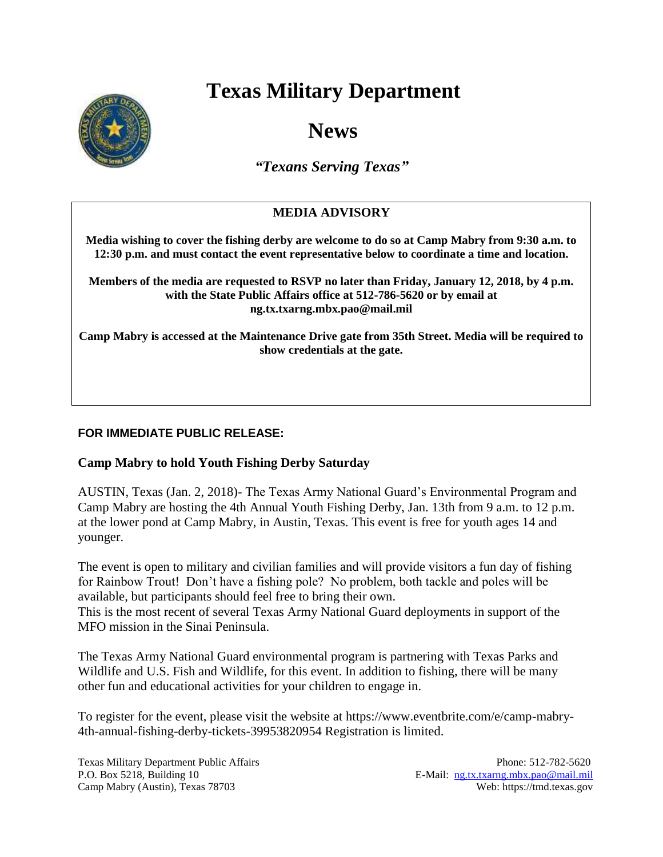# **Texas Military Department**



# **News**

*"Texans Serving Texas"*

## **MEDIA ADVISORY**

**Media wishing to cover the fishing derby are welcome to do so at Camp Mabry from 9:30 a.m. to 12:30 p.m. and must contact the event representative below to coordinate a time and location.**

**Members of the media are requested to RSVP no later than Friday, January 12, 2018, by 4 p.m. with the State Public Affairs office at 512-786-5620 or by email at ng.tx.txarng.mbx.pao@mail.mil** 

**Camp Mabry is accessed at the Maintenance Drive gate from 35th Street. Media will be required to show credentials at the gate.**

### **FOR IMMEDIATE PUBLIC RELEASE:**

#### **Camp Mabry to hold Youth Fishing Derby Saturday**

AUSTIN, Texas (Jan. 2, 2018)- The Texas Army National Guard's Environmental Program and Camp Mabry are hosting the 4th Annual Youth Fishing Derby, Jan. 13th from 9 a.m. to 12 p.m. at the lower pond at Camp Mabry, in Austin, Texas. This event is free for youth ages 14 and younger.

The event is open to military and civilian families and will provide visitors a fun day of fishing for Rainbow Trout! Don't have a fishing pole? No problem, both tackle and poles will be available, but participants should feel free to bring their own.

This is the most recent of several Texas Army National Guard deployments in support of the MFO mission in the Sinai Peninsula.

The Texas Army National Guard environmental program is partnering with Texas Parks and Wildlife and U.S. Fish and Wildlife, for this event. In addition to fishing, there will be many other fun and educational activities for your children to engage in.

To register for the event, please visit the website at https://www.eventbrite.com/e/camp-mabry-4th-annual-fishing-derby-tickets-39953820954 Registration is limited.

Texas Military Department Public Affairs Phone: 512-782-5620 P.O. Box 5218, Building 10 E-Mail: [ng.tx.txarng.mbx.pao@mail.mil](mailto:ng.tx.txarng.mbx.pao@mail.mil) Camp Mabry (Austin), Texas 78703 Web: https://tmd.texas.gov